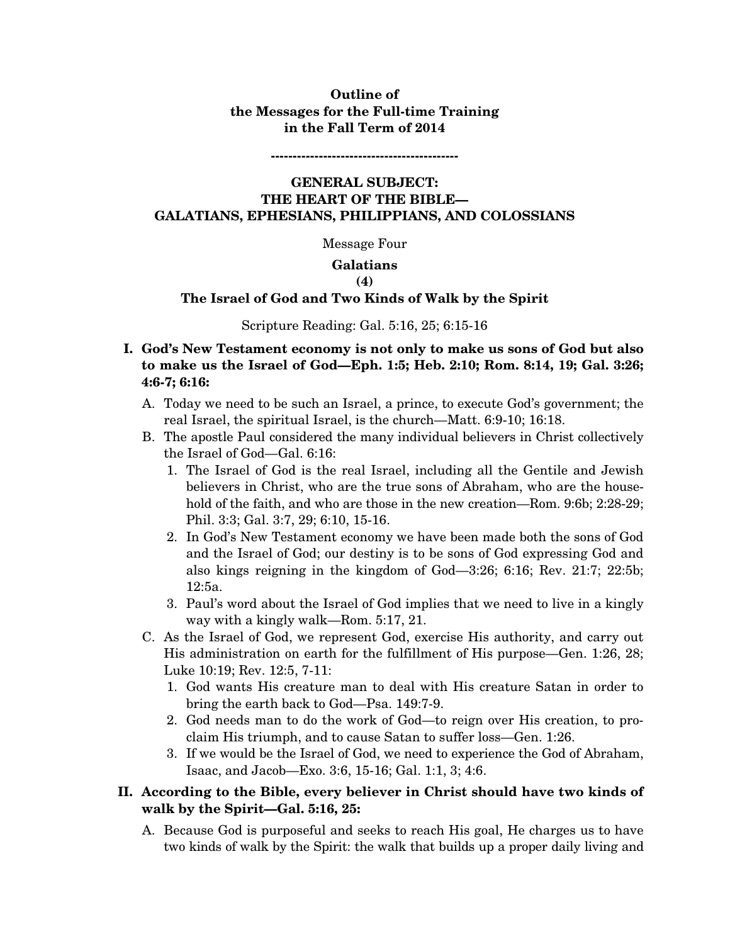# **Outline of the Messages for the Full-time Training in the Fall Term of 2014**

**-------------------------------------------** 

# **GENERAL SUBJECT: THE HEART OF THE BIBLE— GALATIANS, EPHESIANS, PHILIPPIANS, AND COLOSSIANS**

Message Four

### **Galatians**

### **(4)**

## **The Israel of God and Two Kinds of Walk by the Spirit**

#### Scripture Reading: Gal. 5:16, 25; 6:15-16

## **I. God's New Testament economy is not only to make us sons of God but also to make us the Israel of God—Eph. 1:5; Heb. 2:10; Rom. 8:14, 19; Gal. 3:26; 4:6-7; 6:16:**

- A. Today we need to be such an Israel, a prince, to execute God's government; the real Israel, the spiritual Israel, is the church—Matt. 6:9-10; 16:18.
- B. The apostle Paul considered the many individual believers in Christ collectively the Israel of God—Gal. 6:16:
	- 1. The Israel of God is the real Israel, including all the Gentile and Jewish believers in Christ, who are the true sons of Abraham, who are the household of the faith, and who are those in the new creation—Rom. 9:6b; 2:28-29; Phil. 3:3; Gal. 3:7, 29; 6:10, 15-16.
	- 2. In God's New Testament economy we have been made both the sons of God and the Israel of God; our destiny is to be sons of God expressing God and also kings reigning in the kingdom of God—3:26; 6:16; Rev. 21:7; 22:5b; 12:5a.
	- 3. Paul's word about the Israel of God implies that we need to live in a kingly way with a kingly walk—Rom. 5:17, 21.
- C. As the Israel of God, we represent God, exercise His authority, and carry out His administration on earth for the fulfillment of His purpose—Gen. 1:26, 28; Luke 10:19; Rev. 12:5, 7-11:
	- 1. God wants His creature man to deal with His creature Satan in order to bring the earth back to God—Psa. 149:7-9.
	- 2. God needs man to do the work of God—to reign over His creation, to proclaim His triumph, and to cause Satan to suffer loss—Gen. 1:26.
	- 3. If we would be the Israel of God, we need to experience the God of Abraham, Isaac, and Jacob—Exo. 3:6, 15-16; Gal. 1:1, 3; 4:6.

# **II. According to the Bible, every believer in Christ should have two kinds of walk by the Spirit—Gal. 5:16, 25:**

A. Because God is purposeful and seeks to reach His goal, He charges us to have two kinds of walk by the Spirit: the walk that builds up a proper daily living and